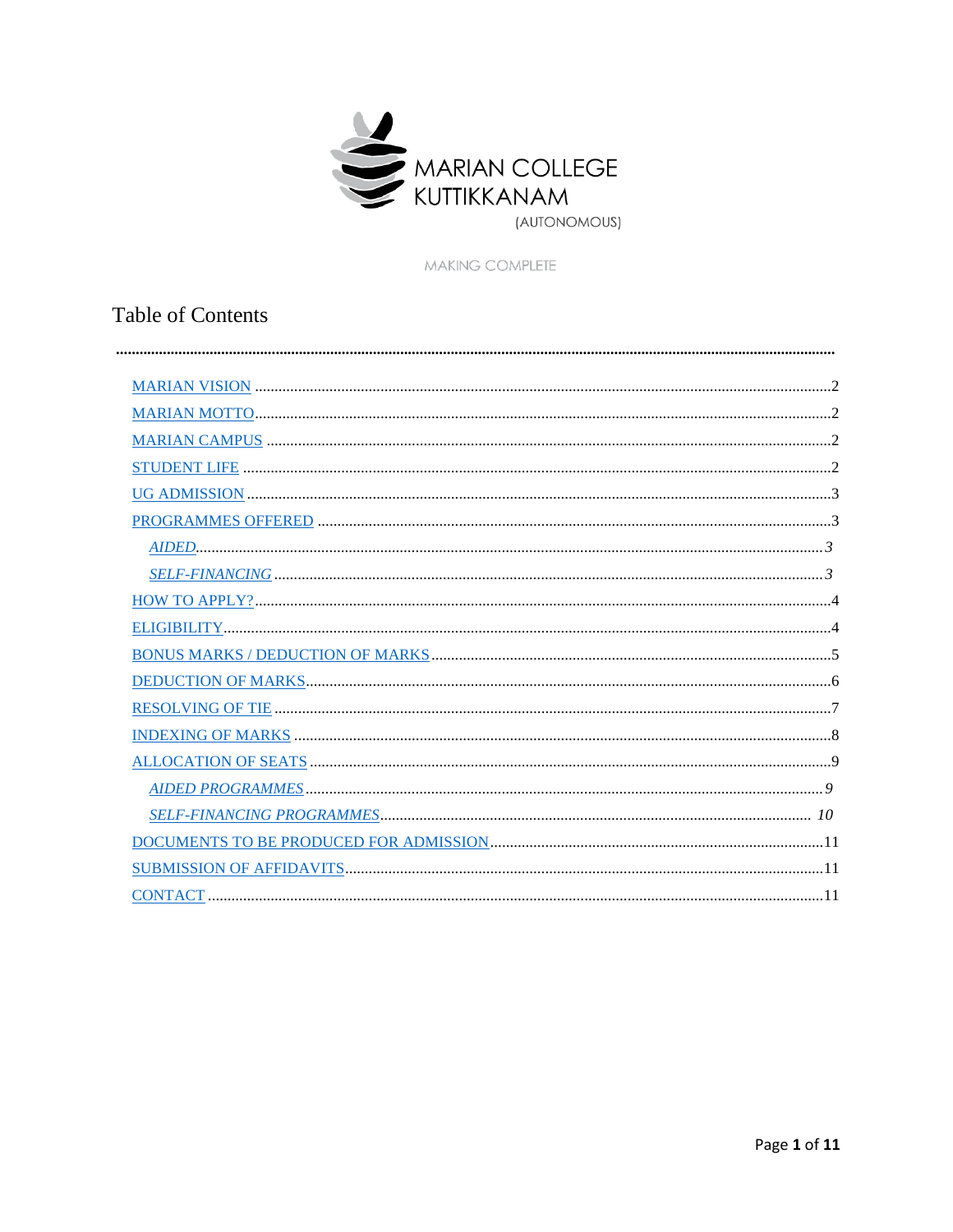

MAKING COMPLETE

# **Table of Contents**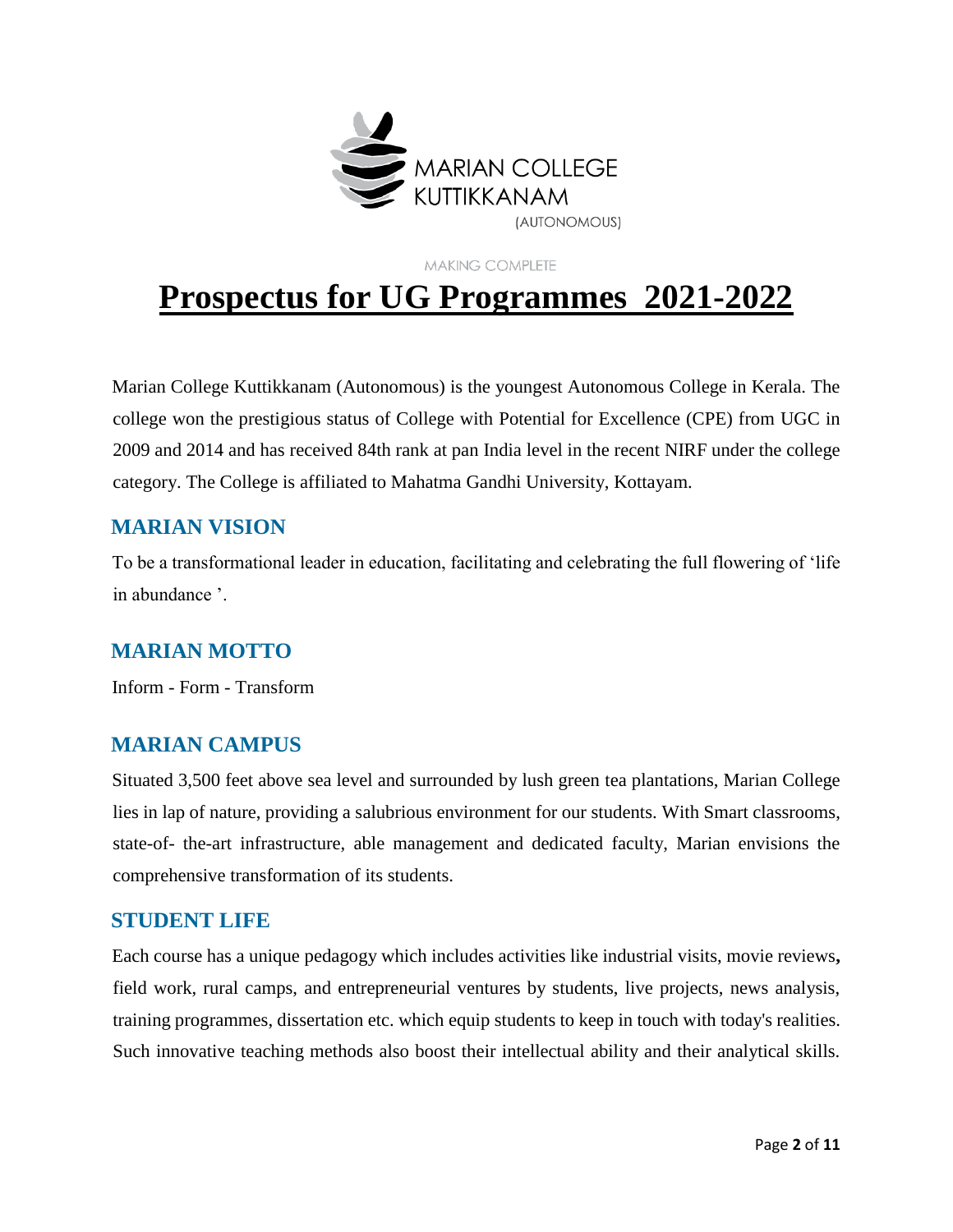

**MAKING COMPLETE** 

# **Prospectus for UG Programmes 2021-2022**

Marian College Kuttikkanam (Autonomous) is the youngest Autonomous College in Kerala. The college won the prestigious status of College with Potential for Excellence (CPE) from UGC in 2009 and 2014 and has received 84th rank at pan India level in the recent NIRF under the college category. The College is affiliated to Mahatma Gandhi University, Kottayam.

#### <span id="page-1-0"></span>**MARIAN VISION**

To be a transformational leader in education, facilitating and celebrating the full flowering of 'life in abundance '.

## <span id="page-1-1"></span>**MARIAN MOTTO**

Inform - Form - Transform

## <span id="page-1-2"></span>**MARIAN CAMPUS**

Situated 3,500 feet above sea level and surrounded by lush green tea plantations, Marian College lies in lap of nature, providing a salubrious environment for our students. With Smart classrooms, state-of- the-art infrastructure, able management and dedicated faculty, Marian envisions the comprehensive transformation of its students.

#### <span id="page-1-3"></span>**STUDENT LIFE**

Each course has a unique pedagogy which includes activities like industrial visits, movie reviews**,** field work, rural camps, and entrepreneurial ventures by students, live projects, news analysis, training programmes, dissertation etc. which equip students to keep in touch with today's realities. Such innovative teaching methods also boost their intellectual ability and their analytical skills.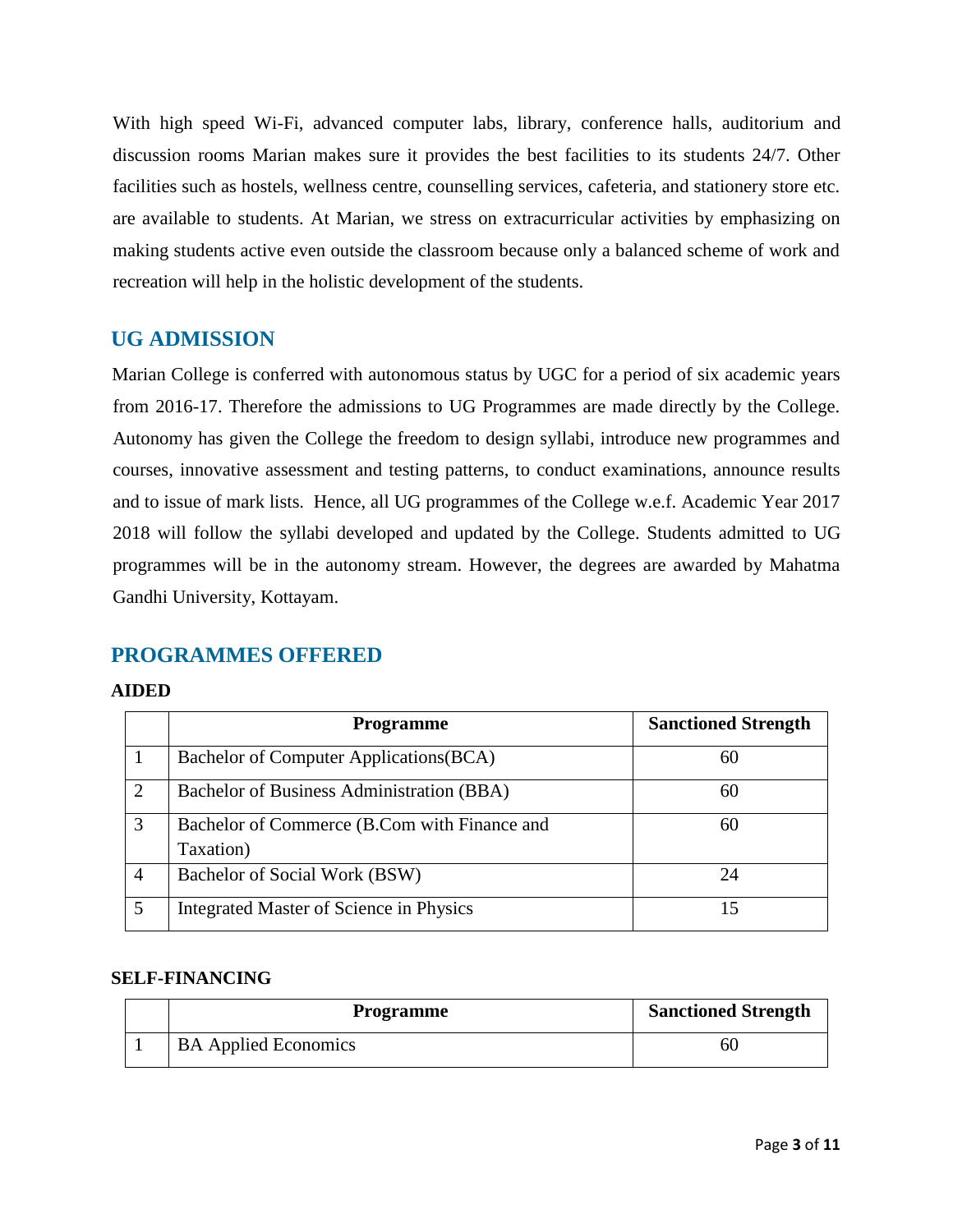With high speed Wi-Fi, advanced computer labs, library, conference halls, auditorium and discussion rooms Marian makes sure it provides the best facilities to its students 24/7. Other facilities such as hostels, wellness centre, counselling services, cafeteria, and stationery store etc. are available to students. At Marian, we stress on extracurricular activities by emphasizing on making students active even outside the classroom because only a balanced scheme of work and recreation will help in the holistic development of the students.

#### <span id="page-2-0"></span>**UG ADMISSION**

Marian College is conferred with autonomous status by UGC for a period of six academic years from 2016-17. Therefore the admissions to UG Programmes are made directly by the College. Autonomy has given the College the freedom to design syllabi, introduce new programmes and courses, innovative assessment and testing patterns, to conduct examinations, announce results and to issue of mark lists. Hence, all UG programmes of the College w.e.f. Academic Year 2017 2018 will follow the syllabi developed and updated by the College. Students admitted to UG programmes will be in the autonomy stream. However, the degrees are awarded by Mahatma Gandhi University, Kottayam.

#### <span id="page-2-1"></span>**PROGRAMMES OFFERED**

#### <span id="page-2-2"></span>**AIDED**

|                | <b>Programme</b>                                          | <b>Sanctioned Strength</b> |
|----------------|-----------------------------------------------------------|----------------------------|
|                | Bachelor of Computer Applications (BCA)                   | 60                         |
| $\overline{2}$ | Bachelor of Business Administration (BBA)                 | 60                         |
| 3              | Bachelor of Commerce (B.Com with Finance and<br>Taxation) | 60                         |
| 4              | Bachelor of Social Work (BSW)                             | 24                         |
| 5              | <b>Integrated Master of Science in Physics</b>            | 15                         |

#### <span id="page-2-3"></span>**SELF-FINANCING**

| Programme                   | <b>Sanctioned Strength</b> |
|-----------------------------|----------------------------|
| <b>BA Applied Economics</b> | 61                         |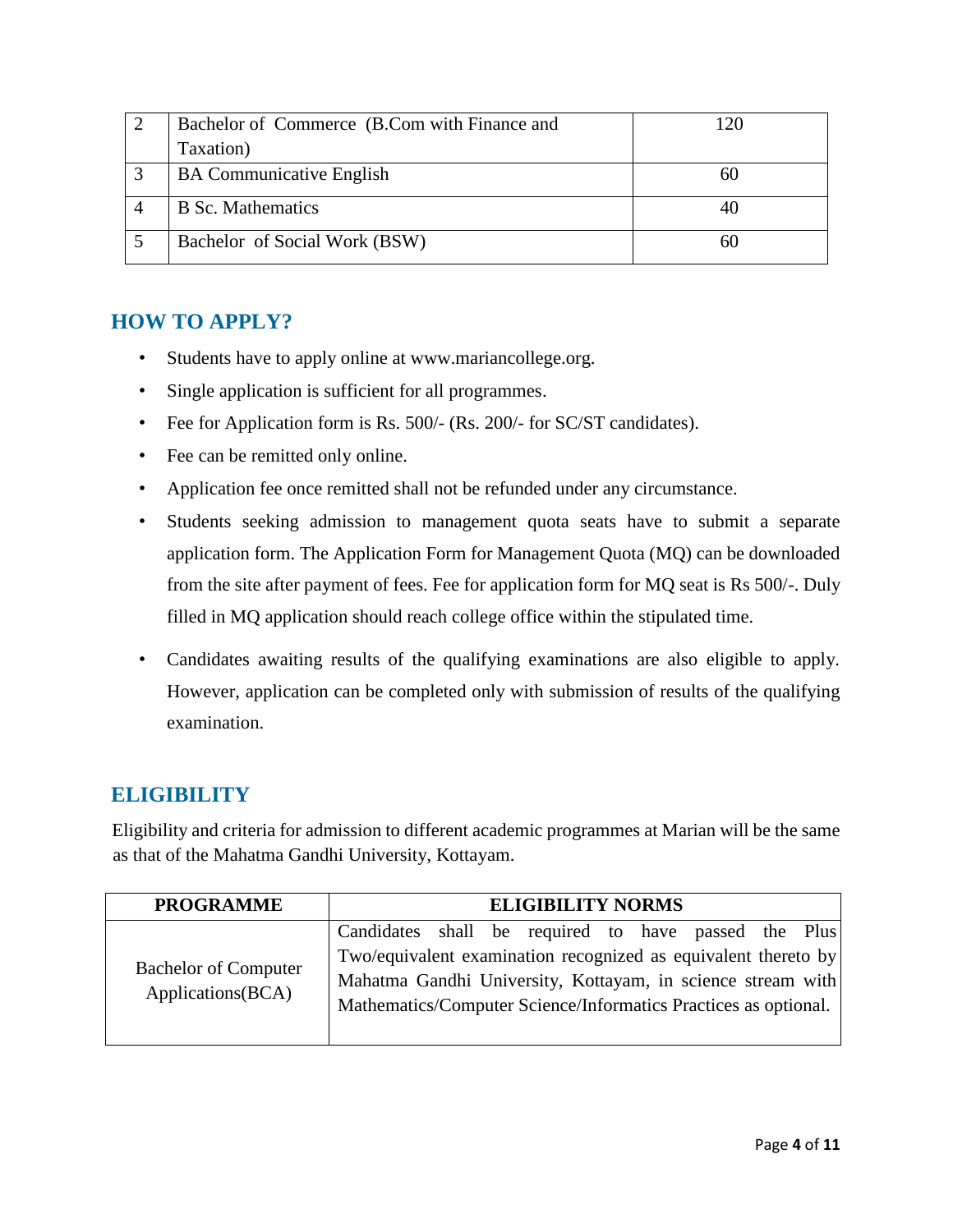| Bachelor of Commerce (B.Com with Finance and | 120 |
|----------------------------------------------|-----|
| Taxation)                                    |     |
| <b>BA Communicative English</b>              | 60  |
| <b>B</b> Sc. Mathematics                     |     |
| Bachelor of Social Work (BSW)                | hl  |

#### <span id="page-3-0"></span>**HOW TO APPLY?**

- Students have to apply online at www.mariancollege.org.
- Single application is sufficient for all programmes.
- Fee for Application form is Rs. 500/- (Rs. 200/- for SC/ST candidates).
- Fee can be remitted only online.
- Application fee once remitted shall not be refunded under any circumstance.
- Students seeking admission to management quota seats have to submit a separate application form. The Application Form for Management Quota (MQ) can be downloaded from the site after payment of fees. Fee for application form for MQ seat is Rs 500/-. Duly filled in MQ application should reach college office within the stipulated time.
- Candidates awaiting results of the qualifying examinations are also eligible to apply. However, application can be completed only with submission of results of the qualifying examination.

# <span id="page-3-1"></span>**ELIGIBILITY**

Eligibility and criteria for admission to different academic programmes at Marian will be the same as that of the Mahatma Gandhi University, Kottayam.

| <b>PROGRAMME</b>                                 | <b>ELIGIBILITY NORMS</b>                                                                                                                                                                         |
|--------------------------------------------------|--------------------------------------------------------------------------------------------------------------------------------------------------------------------------------------------------|
|                                                  | Candidates shall be required to have passed the Plus                                                                                                                                             |
| <b>Bachelor of Computer</b><br>Applications(BCA) | Two/equivalent examination recognized as equivalent thereto by<br>Mahatma Gandhi University, Kottayam, in science stream with<br>Mathematics/Computer Science/Informatics Practices as optional. |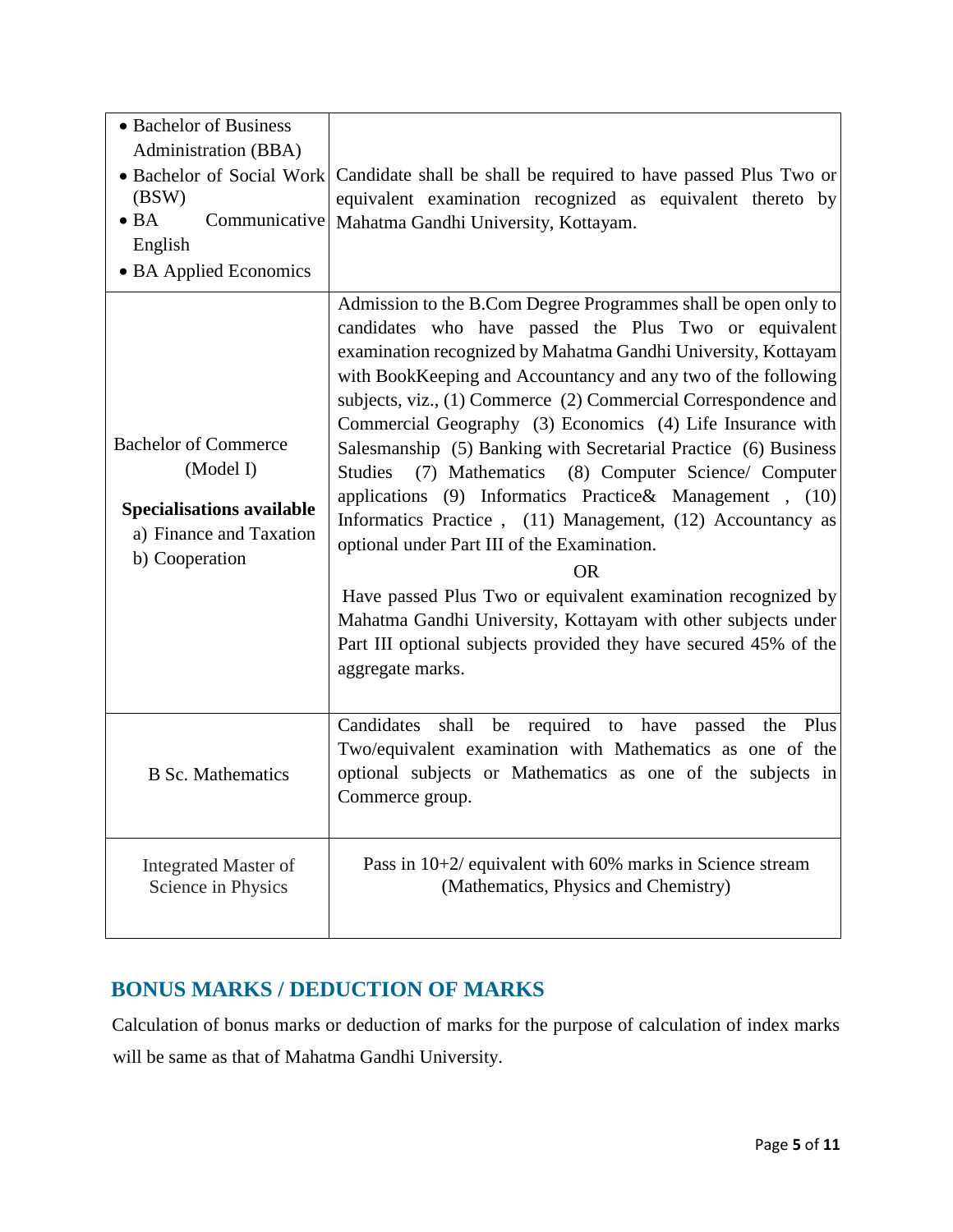| • Bachelor of Business<br>Administration (BBA)<br>• Bachelor of Social Work<br>(BSW)<br>$\bullet$ BA<br>Communicative<br>English<br>• BA Applied Economics | Candidate shall be shall be required to have passed Plus Two or<br>equivalent examination recognized as equivalent thereto by<br>Mahatma Gandhi University, Kottayam.                                                                                                                                                                                                                                                                                                                                                                                                                                                                                                                                                                                                                                                                                                                                                                          |
|------------------------------------------------------------------------------------------------------------------------------------------------------------|------------------------------------------------------------------------------------------------------------------------------------------------------------------------------------------------------------------------------------------------------------------------------------------------------------------------------------------------------------------------------------------------------------------------------------------------------------------------------------------------------------------------------------------------------------------------------------------------------------------------------------------------------------------------------------------------------------------------------------------------------------------------------------------------------------------------------------------------------------------------------------------------------------------------------------------------|
| <b>Bachelor of Commerce</b><br>(Model I)<br><b>Specialisations available</b><br>a) Finance and Taxation<br>b) Cooperation                                  | Admission to the B.Com Degree Programmes shall be open only to<br>candidates who have passed the Plus Two or equivalent<br>examination recognized by Mahatma Gandhi University, Kottayam<br>with BookKeeping and Accountancy and any two of the following<br>subjects, viz., (1) Commerce (2) Commercial Correspondence and<br>Commercial Geography (3) Economics (4) Life Insurance with<br>Salesmanship (5) Banking with Secretarial Practice (6) Business<br><b>Studies</b><br>(7) Mathematics (8) Computer Science/ Computer<br>applications (9) Informatics Practice& Management, (10)<br>Informatics Practice, (11) Management, (12) Accountancy as<br>optional under Part III of the Examination.<br><b>OR</b><br>Have passed Plus Two or equivalent examination recognized by<br>Mahatma Gandhi University, Kottayam with other subjects under<br>Part III optional subjects provided they have secured 45% of the<br>aggregate marks. |
| <b>B</b> Sc. Mathematics                                                                                                                                   | shall be required to have passed the Plus<br>Candidates<br>Two/equivalent examination with Mathematics as one of the<br>optional subjects or Mathematics as one of the subjects in<br>Commerce group.                                                                                                                                                                                                                                                                                                                                                                                                                                                                                                                                                                                                                                                                                                                                          |
| <b>Integrated Master of</b><br>Science in Physics                                                                                                          | Pass in $10+2$ / equivalent with 60% marks in Science stream<br>(Mathematics, Physics and Chemistry)                                                                                                                                                                                                                                                                                                                                                                                                                                                                                                                                                                                                                                                                                                                                                                                                                                           |

# <span id="page-4-0"></span>**BONUS MARKS / DEDUCTION OF MARKS**

Calculation of bonus marks or deduction of marks for the purpose of calculation of index marks will be same as that of Mahatma Gandhi University.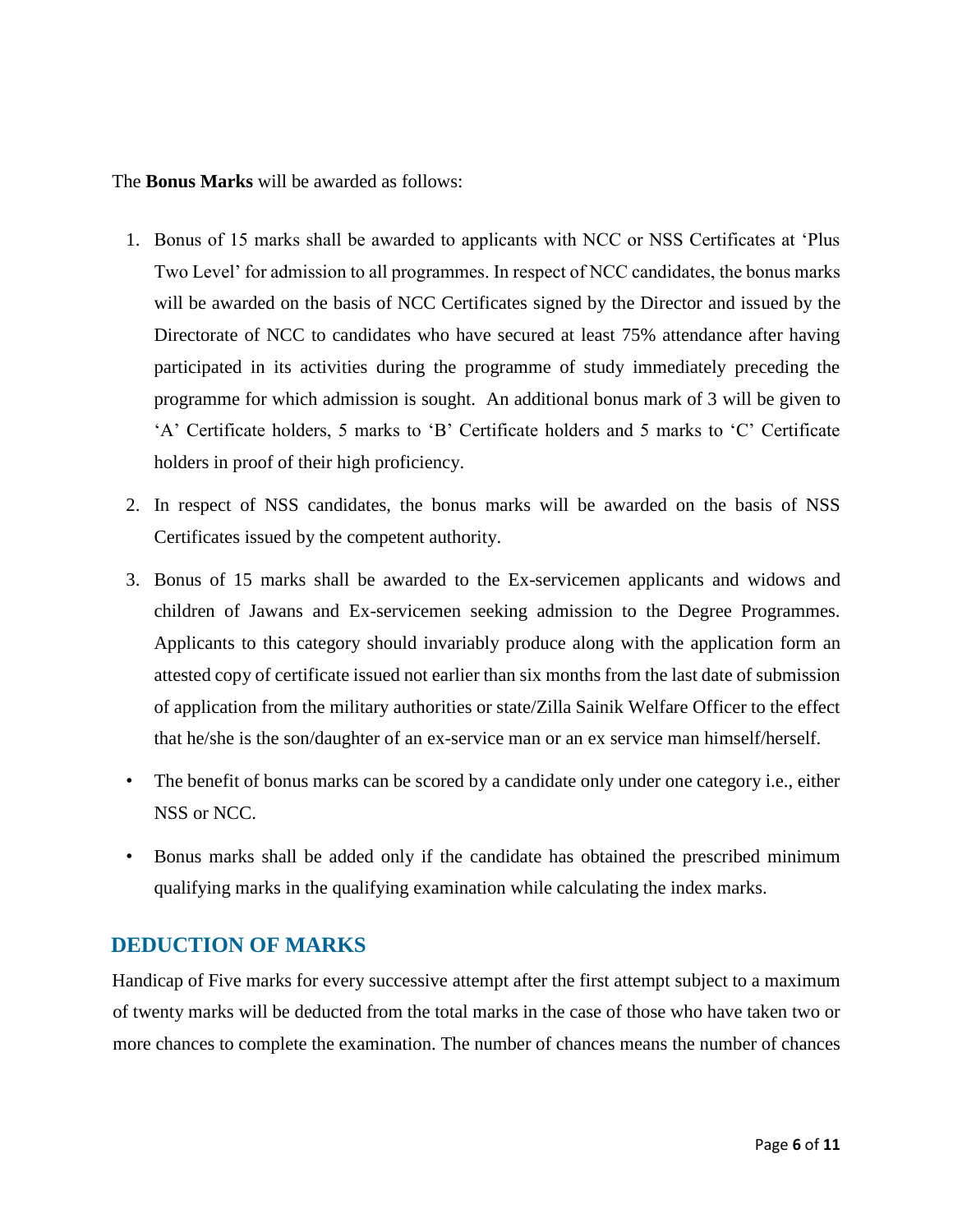The **Bonus Marks** will be awarded as follows:

- 1. Bonus of 15 marks shall be awarded to applicants with NCC or NSS Certificates at 'Plus Two Level' for admission to all programmes. In respect of NCC candidates, the bonus marks will be awarded on the basis of NCC Certificates signed by the Director and issued by the Directorate of NCC to candidates who have secured at least 75% attendance after having participated in its activities during the programme of study immediately preceding the programme for which admission is sought. An additional bonus mark of 3 will be given to 'A' Certificate holders, 5 marks to 'B' Certificate holders and 5 marks to 'C' Certificate holders in proof of their high proficiency.
- 2. In respect of NSS candidates, the bonus marks will be awarded on the basis of NSS Certificates issued by the competent authority.
- 3. Bonus of 15 marks shall be awarded to the Ex-servicemen applicants and widows and children of Jawans and Ex-servicemen seeking admission to the Degree Programmes. Applicants to this category should invariably produce along with the application form an attested copy of certificate issued not earlier than six months from the last date of submission of application from the military authorities or state/Zilla Sainik Welfare Officer to the effect that he/she is the son/daughter of an ex-service man or an ex service man himself/herself.
- The benefit of bonus marks can be scored by a candidate only under one category i.e., either NSS or NCC.
- Bonus marks shall be added only if the candidate has obtained the prescribed minimum qualifying marks in the qualifying examination while calculating the index marks.

#### <span id="page-5-0"></span>**DEDUCTION OF MARKS**

Handicap of Five marks for every successive attempt after the first attempt subject to a maximum of twenty marks will be deducted from the total marks in the case of those who have taken two or more chances to complete the examination. The number of chances means the number of chances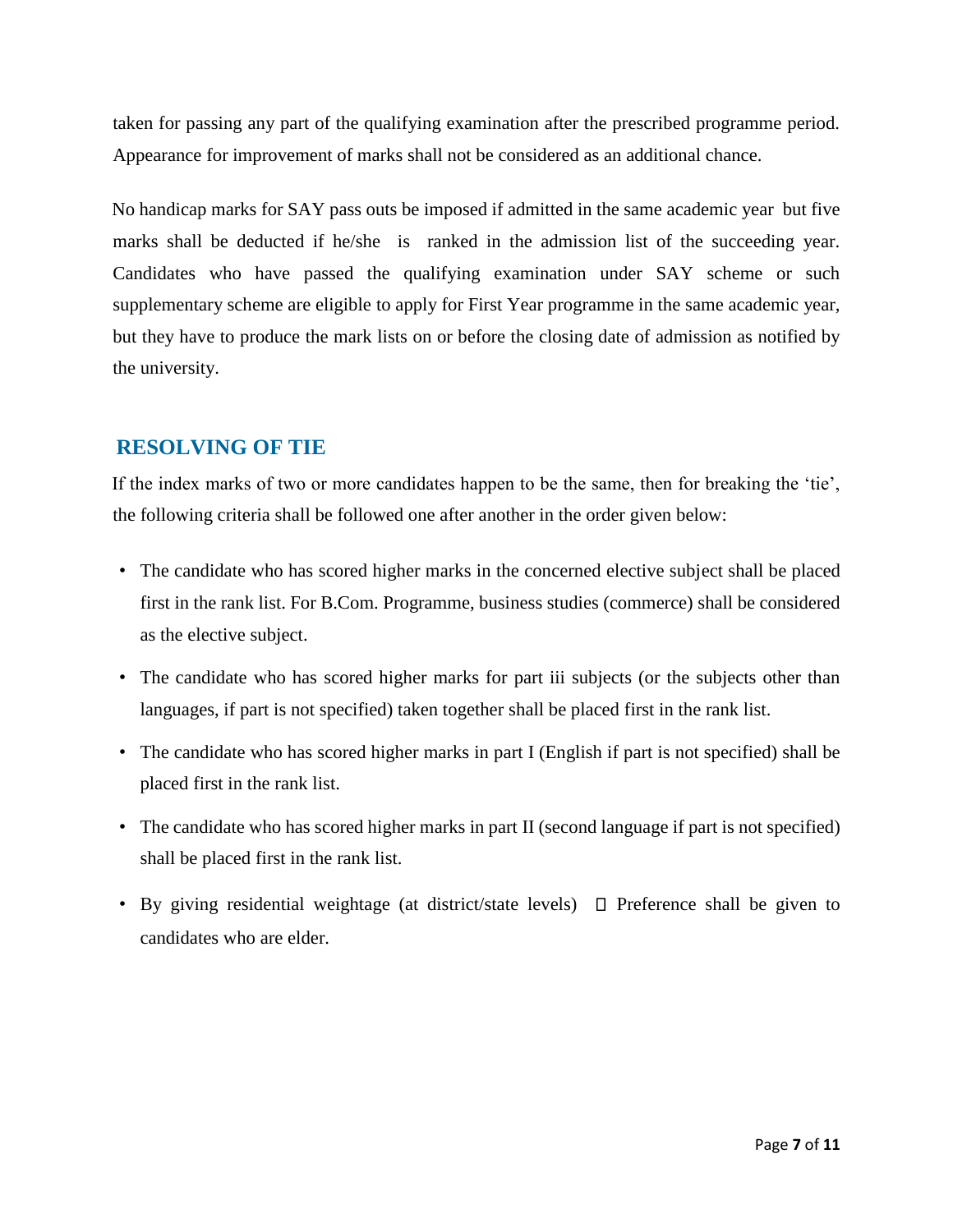taken for passing any part of the qualifying examination after the prescribed programme period. Appearance for improvement of marks shall not be considered as an additional chance.

No handicap marks for SAY pass outs be imposed if admitted in the same academic year but five marks shall be deducted if he/she is ranked in the admission list of the succeeding year. Candidates who have passed the qualifying examination under SAY scheme or such supplementary scheme are eligible to apply for First Year programme in the same academic year, but they have to produce the mark lists on or before the closing date of admission as notified by the university.

## <span id="page-6-0"></span>**RESOLVING OF TIE**

If the index marks of two or more candidates happen to be the same, then for breaking the 'tie', the following criteria shall be followed one after another in the order given below:

- The candidate who has scored higher marks in the concerned elective subject shall be placed first in the rank list. For B.Com. Programme, business studies (commerce) shall be considered as the elective subject.
- The candidate who has scored higher marks for part iii subjects (or the subjects other than languages, if part is not specified) taken together shall be placed first in the rank list.
- The candidate who has scored higher marks in part I (English if part is not specified) shall be placed first in the rank list.
- The candidate who has scored higher marks in part II (second language if part is not specified) shall be placed first in the rank list.
- By giving residential weightage (at district/state levels)  $\Box$  Preference shall be given to candidates who are elder.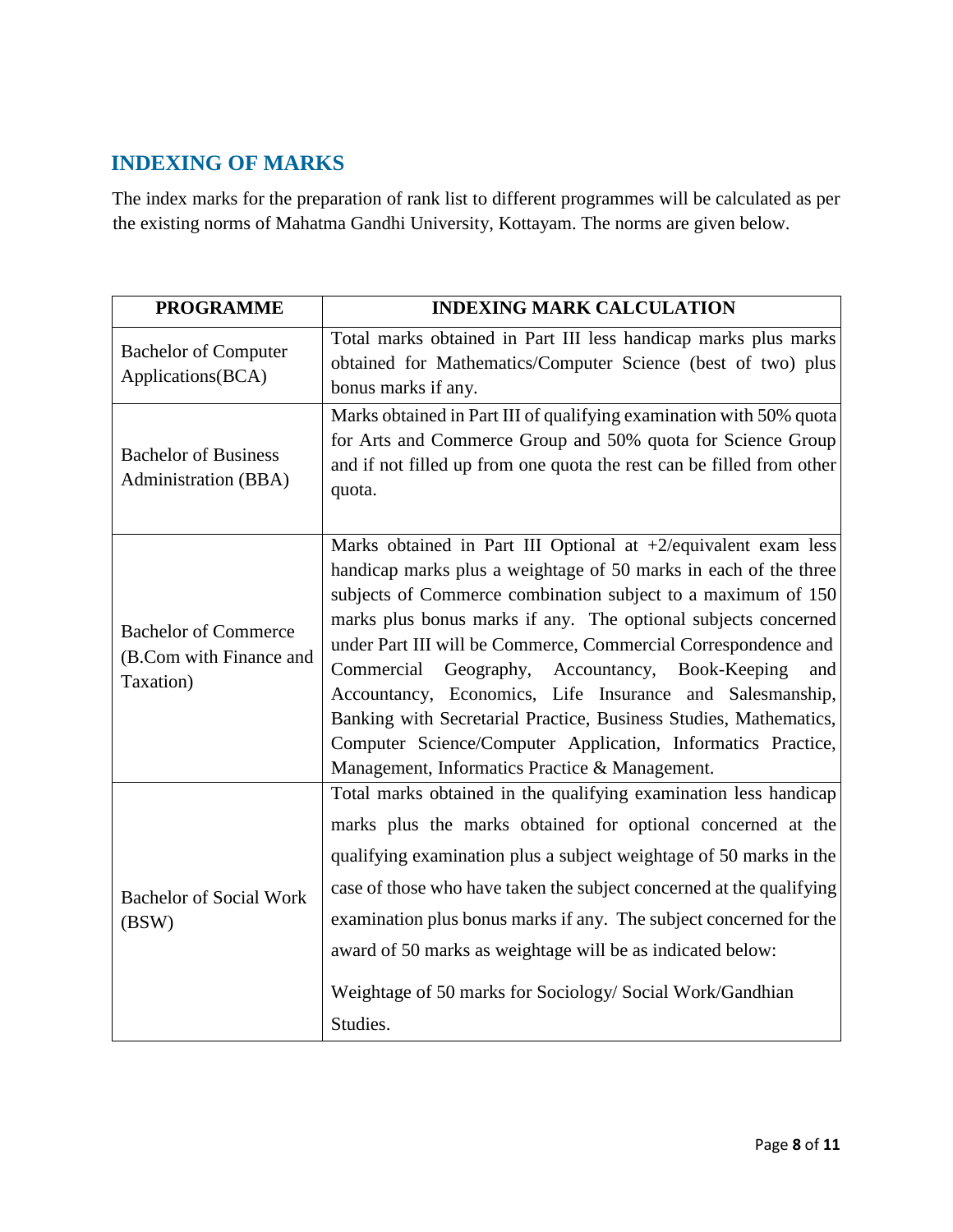## <span id="page-7-0"></span>**INDEXING OF MARKS**

The index marks for the preparation of rank list to different programmes will be calculated as per the existing norms of Mahatma Gandhi University, Kottayam. The norms are given below.

| <b>PROGRAMME</b>                                                    | <b>INDEXING MARK CALCULATION</b>                                                                                                                                                                                                                                                                                                                                                                                                                                                                                                                                                                                                                       |
|---------------------------------------------------------------------|--------------------------------------------------------------------------------------------------------------------------------------------------------------------------------------------------------------------------------------------------------------------------------------------------------------------------------------------------------------------------------------------------------------------------------------------------------------------------------------------------------------------------------------------------------------------------------------------------------------------------------------------------------|
| <b>Bachelor of Computer</b><br>Applications(BCA)                    | Total marks obtained in Part III less handicap marks plus marks<br>obtained for Mathematics/Computer Science (best of two) plus<br>bonus marks if any.                                                                                                                                                                                                                                                                                                                                                                                                                                                                                                 |
| <b>Bachelor of Business</b><br>Administration (BBA)                 | Marks obtained in Part III of qualifying examination with 50% quota<br>for Arts and Commerce Group and 50% quota for Science Group<br>and if not filled up from one quota the rest can be filled from other<br>quota.                                                                                                                                                                                                                                                                                                                                                                                                                                  |
| <b>Bachelor of Commerce</b><br>(B.Com with Finance and<br>Taxation) | Marks obtained in Part III Optional at $+2$ /equivalent exam less<br>handicap marks plus a weightage of 50 marks in each of the three<br>subjects of Commerce combination subject to a maximum of 150<br>marks plus bonus marks if any. The optional subjects concerned<br>under Part III will be Commerce, Commercial Correspondence and<br>Commercial Geography, Accountancy, Book-Keeping<br>and<br>Accountancy, Economics, Life Insurance and Salesmanship,<br>Banking with Secretarial Practice, Business Studies, Mathematics,<br>Computer Science/Computer Application, Informatics Practice,<br>Management, Informatics Practice & Management. |
| <b>Bachelor of Social Work</b><br>(BSW)                             | Total marks obtained in the qualifying examination less handicap<br>marks plus the marks obtained for optional concerned at the<br>qualifying examination plus a subject weightage of 50 marks in the<br>case of those who have taken the subject concerned at the qualifying<br>examination plus bonus marks if any. The subject concerned for the<br>award of 50 marks as weightage will be as indicated below:<br>Weightage of 50 marks for Sociology/ Social Work/Gandhian<br>Studies.                                                                                                                                                             |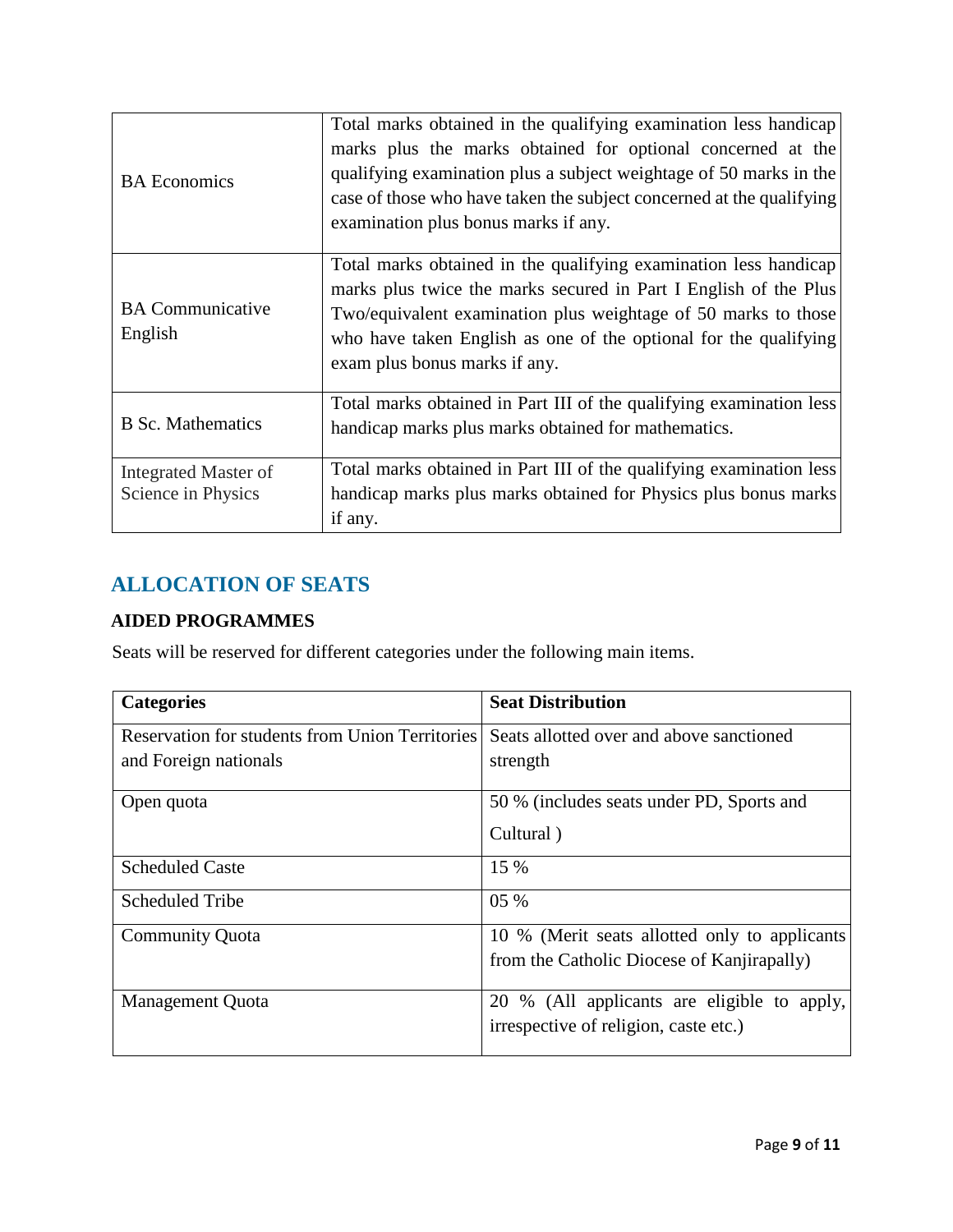| <b>BA</b> Economics                        | Total marks obtained in the qualifying examination less handicap<br>marks plus the marks obtained for optional concerned at the<br>qualifying examination plus a subject weightage of 50 marks in the<br>case of those who have taken the subject concerned at the qualifying<br>examination plus bonus marks if any. |
|--------------------------------------------|-----------------------------------------------------------------------------------------------------------------------------------------------------------------------------------------------------------------------------------------------------------------------------------------------------------------------|
| <b>BA</b> Communicative<br>English         | Total marks obtained in the qualifying examination less handicap<br>marks plus twice the marks secured in Part I English of the Plus<br>Two/equivalent examination plus weightage of 50 marks to those<br>who have taken English as one of the optional for the qualifying<br>exam plus bonus marks if any.           |
| <b>B</b> Sc. Mathematics                   | Total marks obtained in Part III of the qualifying examination less<br>handicap marks plus marks obtained for mathematics.                                                                                                                                                                                            |
| Integrated Master of<br>Science in Physics | Total marks obtained in Part III of the qualifying examination less<br>handicap marks plus marks obtained for Physics plus bonus marks<br>if any.                                                                                                                                                                     |

# <span id="page-8-0"></span>**ALLOCATION OF SEATS**

## <span id="page-8-1"></span>**AIDED PROGRAMMES**

Seats will be reserved for different categories under the following main items.

| <b>Categories</b>                                      | <b>Seat Distribution</b>                      |
|--------------------------------------------------------|-----------------------------------------------|
| <b>Reservation for students from Union Territories</b> | Seats allotted over and above sanctioned      |
| and Foreign nationals                                  | strength                                      |
| Open quota                                             | 50 % (includes seats under PD, Sports and     |
|                                                        | Cultural)                                     |
| <b>Scheduled Caste</b>                                 | 15 %                                          |
| Scheduled Tribe                                        | 05 %                                          |
| <b>Community Quota</b>                                 | 10 % (Merit seats allotted only to applicants |
|                                                        | from the Catholic Diocese of Kanjirapally)    |
| Management Quota                                       | 20 % (All applicants are eligible to apply,   |
|                                                        | irrespective of religion, caste etc.)         |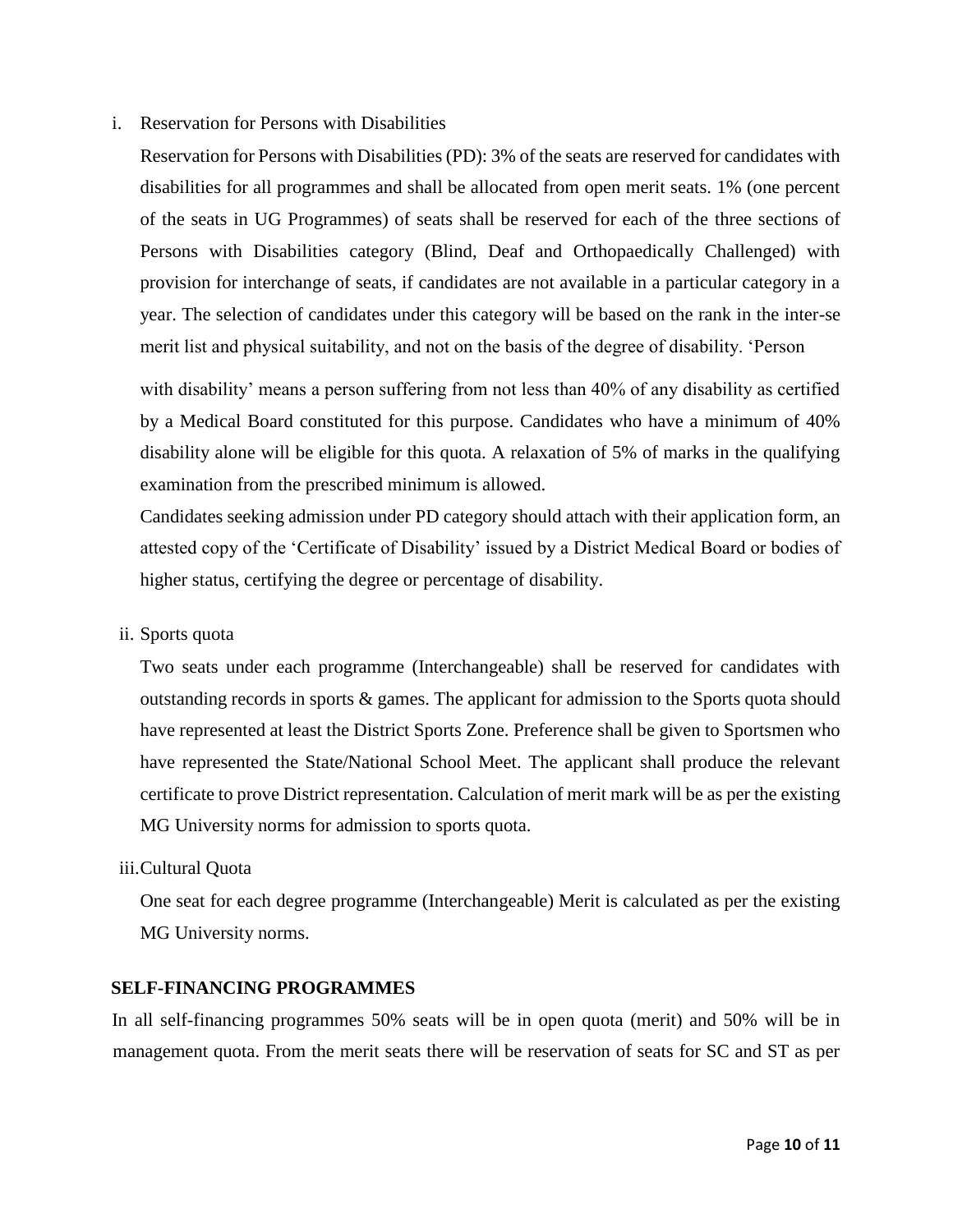#### i. Reservation for Persons with Disabilities

Reservation for Persons with Disabilities (PD): 3% of the seats are reserved for candidates with disabilities for all programmes and shall be allocated from open merit seats. 1% (one percent of the seats in UG Programmes) of seats shall be reserved for each of the three sections of Persons with Disabilities category (Blind, Deaf and Orthopaedically Challenged) with provision for interchange of seats, if candidates are not available in a particular category in a year. The selection of candidates under this category will be based on the rank in the inter-se merit list and physical suitability, and not on the basis of the degree of disability. 'Person

with disability' means a person suffering from not less than 40% of any disability as certified by a Medical Board constituted for this purpose. Candidates who have a minimum of 40% disability alone will be eligible for this quota. A relaxation of 5% of marks in the qualifying examination from the prescribed minimum is allowed.

Candidates seeking admission under PD category should attach with their application form, an attested copy of the 'Certificate of Disability' issued by a District Medical Board or bodies of higher status, certifying the degree or percentage of disability.

ii. Sports quota

Two seats under each programme (Interchangeable) shall be reserved for candidates with outstanding records in sports & games. The applicant for admission to the Sports quota should have represented at least the District Sports Zone. Preference shall be given to Sportsmen who have represented the State/National School Meet. The applicant shall produce the relevant certificate to prove District representation. Calculation of merit mark will be as per the existing MG University norms for admission to sports quota.

#### iii.Cultural Quota

One seat for each degree programme (Interchangeable) Merit is calculated as per the existing MG University norms.

#### <span id="page-9-0"></span>**SELF-FINANCING PROGRAMMES**

In all self-financing programmes 50% seats will be in open quota (merit) and 50% will be in management quota. From the merit seats there will be reservation of seats for SC and ST as per